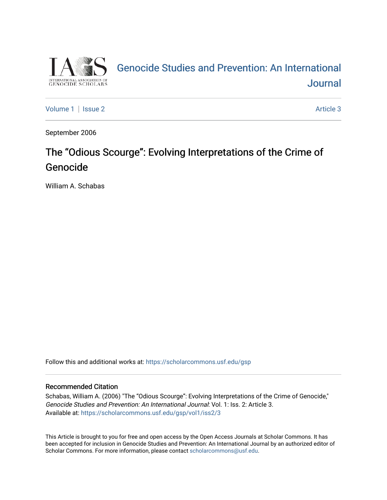

## [Genocide Studies and Prevention: An International](https://scholarcommons.usf.edu/gsp)  **Journal**

[Volume 1](https://scholarcommons.usf.edu/gsp/vol1) | [Issue 2](https://scholarcommons.usf.edu/gsp/vol1/iss2) Article 3

September 2006

## The "Odious Scourge": Evolving Interpretations of the Crime of Genocide

William A. Schabas

Follow this and additional works at: [https://scholarcommons.usf.edu/gsp](https://scholarcommons.usf.edu/gsp?utm_source=scholarcommons.usf.edu%2Fgsp%2Fvol1%2Fiss2%2F3&utm_medium=PDF&utm_campaign=PDFCoverPages)

#### Recommended Citation

Schabas, William A. (2006) "The "Odious Scourge": Evolving Interpretations of the Crime of Genocide," Genocide Studies and Prevention: An International Journal: Vol. 1: Iss. 2: Article 3. Available at: [https://scholarcommons.usf.edu/gsp/vol1/iss2/3](https://scholarcommons.usf.edu/gsp/vol1/iss2/3?utm_source=scholarcommons.usf.edu%2Fgsp%2Fvol1%2Fiss2%2F3&utm_medium=PDF&utm_campaign=PDFCoverPages)

This Article is brought to you for free and open access by the Open Access Journals at Scholar Commons. It has been accepted for inclusion in Genocide Studies and Prevention: An International Journal by an authorized editor of Scholar Commons. For more information, please contact [scholarcommons@usf.edu](mailto:scholarcommons@usf.edu).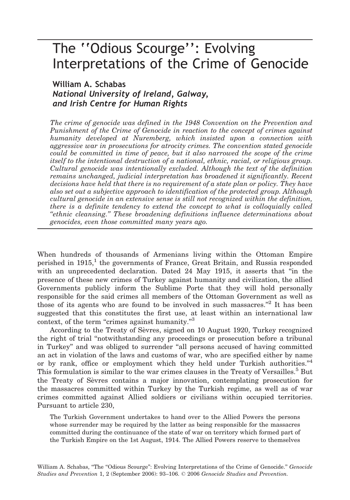# The ''Odious Scourge'': Evolving Interpretations of the Crime of Genocide

## William A. Schabas National University of Ireland, Galway, and Irish Centre for Human Rights

The crime of genocide was defined in the 1948 Convention on the Prevention and Punishment of the Crime of Genocide in reaction to the concept of crimes against humanity developed at Nuremberg, which insisted upon a connection with aggressive war in prosecutions for atrocity crimes. The convention stated genocide could be committed in time of peace, but it also narrowed the scope of the crime itself to the intentional destruction of a national, ethnic, racial, or religious group. Cultural genocide was intentionally excluded. Although the text of the definition remains unchanged, judicial interpretation has broadened it significantly. Recent decisions have held that there is no requirement of a state plan or policy. They have also set out a subjective approach to identification of the protected group. Although cultural genocide in an extensive sense is still not recognized within the definition, there is a definite tendency to extend the concept to what is colloquially called ''ethnic cleansing.'' These broadening definitions influence determinations about genocides, even those committed many years ago.

When hundreds of thousands of Armenians living within the Ottoman Empire perished in  $1915<sup>1</sup>$ , the governments of France, Great Britain, and Russia responded with an unprecedented declaration. Dated 24 May 1915, it asserts that ''in the presence of these new crimes of Turkey against humanity and civilization, the allied Governments publicly inform the Sublime Porte that they will hold personally responsible for the said crimes all members of the Ottoman Government as well as those of its agents who are found to be involved in such massacres."<sup>2</sup> It has been suggested that this constitutes the first use, at least within an international law context, of the term "crimes against humanity."<sup>3</sup>

According to the Treaty of Sevres, signed on 10 August 1920, Turkey recognized the right of trial ''notwithstanding any proceedings or prosecution before a tribunal in Turkey'' and was obliged to surrender ''all persons accused of having committed an act in violation of the laws and customs of war, who are specified either by name or by rank, office or employment which they held under Turkish authorities." $4$ This formulation is similar to the war crimes clauses in the Treaty of Versailles.<sup>5</sup> But the Treaty of Sevres contains a major innovation, contemplating prosecution for the massacres committed within Turkey by the Turkish regime, as well as of war crimes committed against Allied soldiers or civilians within occupied territories. Pursuant to article 230,

The Turkish Government undertakes to hand over to the Allied Powers the persons whose surrender may be required by the latter as being responsible for the massacres committed during the continuance of the state of war on territory which formed part of the Turkish Empire on the 1st August, 1914. The Allied Powers reserve to themselves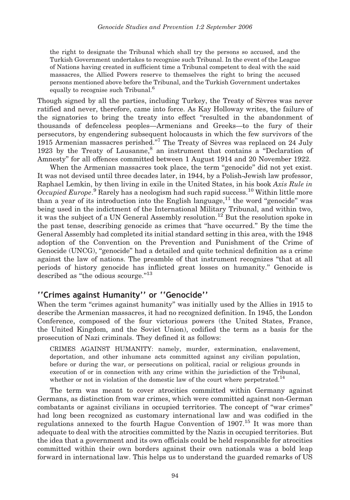the right to designate the Tribunal which shall try the persons so accused, and the Turkish Government undertakes to recognise such Tribunal. In the event of the League of Nations having created in sufficient time a Tribunal competent to deal with the said massacres, the Allied Powers reserve to themselves the right to bring the accused persons mentioned above before the Tribunal, and the Turkish Government undertakes equally to recognise such Tribunal.<sup>6</sup>

Though signed by all the parties, including Turkey, the Treaty of Sevres was never ratified and never, therefore, came into force. As Kay Holloway writes, the failure of the signatories to bring the treaty into effect ''resulted in the abandonment of thousands of defenceless peoples—Armenians and Greeks—to the fury of their persecutors, by engendering subsequent holocausts in which the few survivors of the 1915 Armenian massacres perished."<sup>7</sup> The Treaty of Sevres was replaced on 24 July 1923 by the Treaty of Lausanne, $8$  an instrument that contains a "Declaration of Amnesty'' for all offences committed between 1 August 1914 and 20 November 1922.

When the Armenian massacres took place, the term "genocide" did not yet exist. It was not devised until three decades later, in 1944, by a Polish-Jewish law professor, Raphael Lemkin, by then living in exile in the United States, in his book Axis Rule in Occupied Europe.<sup>9</sup> Rarely has a neologism had such rapid success.<sup>10</sup> Within little more than a year of its introduction into the English language,<sup>11</sup> the word "genocide" was being used in the indictment of the International Military Tribunal, and within two, it was the subject of a UN General Assembly resolution.<sup>12</sup> But the resolution spoke in the past tense, describing genocide as crimes that ''have occurred.'' By the time the General Assembly had completed its initial standard setting in this area, with the 1948 adoption of the Convention on the Prevention and Punishment of the Crime of Genocide (UNCG), ''genocide'' had a detailed and quite technical definition as a crime against the law of nations. The preamble of that instrument recognizes ''that at all periods of history genocide has inflicted great losses on humanity.'' Genocide is described as "the odious scourge."<sup>13</sup>

#### ''Crimes against Humanity'' or ''Genocide''

When the term "crimes against humanity" was initially used by the Allies in 1915 to describe the Armenian massacres, it had no recognized definition. In 1945, the London Conference, composed of the four victorious powers (the United States, France, the United Kingdom, and the Soviet Union), codified the term as a basis for the prosecution of Nazi criminals. They defined it as follows:

CRIMES AGAINST HUMANITY: namely, murder, extermination, enslavement, deportation, and other inhumane acts committed against any civilian population, before or during the war, or persecutions on political, racial or religious grounds in execution of or in connection with any crime within the jurisdiction of the Tribunal, whether or not in violation of the domestic law of the court where perpetrated.<sup>14</sup>

The term was meant to cover atrocities committed within Germany against Germans, as distinction from war crimes, which were committed against non-German combatants or against civilians in occupied territories. The concept of ''war crimes'' had long been recognized as customary international law and was codified in the regulations annexed to the fourth Hague Convention of 1907.<sup>15</sup> It was more than adequate to deal with the atrocities committed by the Nazis in occupied territories. But the idea that a government and its own officials could be held responsible for atrocities committed within their own borders against their own nationals was a bold leap forward in international law. This helps us to understand the guarded remarks of US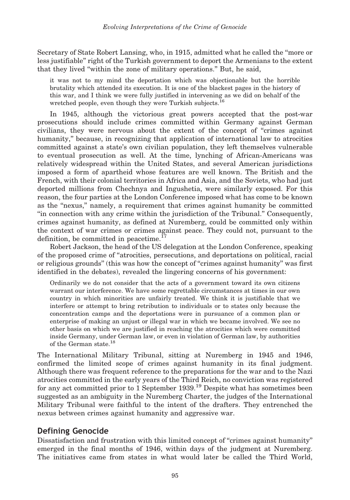Secretary of State Robert Lansing, who, in 1915, admitted what he called the ''more or less justifiable'' right of the Turkish government to deport the Armenians to the extent that they lived ''within the zone of military operations.'' But, he said,

it was not to my mind the deportation which was objectionable but the horrible brutality which attended its execution. It is one of the blackest pages in the history of this war, and I think we were fully justified in intervening as we did on behalf of the wretched people, even though they were Turkish subjects.<sup>16</sup>

In 1945, although the victorious great powers accepted that the post-war prosecutions should include crimes committed within Germany against German civilians, they were nervous about the extent of the concept of ''crimes against humanity,'' because, in recognizing that application of international law to atrocities committed against a state's own civilian population, they left themselves vulnerable to eventual prosecution as well. At the time, lynching of African-Americans was relatively widespread within the United States, and several American jurisdictions imposed a form of apartheid whose features are well known. The British and the French, with their colonial territories in Africa and Asia, and the Soviets, who had just deported millions from Chechnya and Ingushetia, were similarly exposed. For this reason, the four parties at the London Conference imposed what has come to be known as the ''nexus,'' namely, a requirement that crimes against humanity be committed ''in connection with any crime within the jurisdiction of the Tribunal.'' Consequently, crimes against humanity, as defined at Nuremberg, could be committed only within the context of war crimes or crimes against peace. They could not, pursuant to the definition, be committed in peacetime.<sup>17</sup>

Robert Jackson, the head of the US delegation at the London Conference, speaking of the proposed crime of ''atrocities, persecutions, and deportations on political, racial or religious grounds'' (this was how the concept of ''crimes against humanity'' was first identified in the debates), revealed the lingering concerns of his government:

Ordinarily we do not consider that the acts of a government toward its own citizens warrant our interference. We have some regrettable circumstances at times in our own country in which minorities are unfairly treated. We think it is justifiable that we interfere or attempt to bring retribution to individuals or to states only because the concentration camps and the deportations were in pursuance of a common plan or enterprise of making an unjust or illegal war in which we became involved. We see no other basis on which we are justified in reaching the atrocities which were committed inside Germany, under German law, or even in violation of German law, by authorities of the German state.<sup>18</sup>

The International Military Tribunal, sitting at Nuremberg in 1945 and 1946, confirmed the limited scope of crimes against humanity in its final judgment. Although there was frequent reference to the preparations for the war and to the Nazi atrocities committed in the early years of the Third Reich, no conviction was registered for any act committed prior to 1 September 1939.19 Despite what has sometimes been suggested as an ambiguity in the Nuremberg Charter, the judges of the International Military Tribunal were faithful to the intent of the drafters. They entrenched the nexus between crimes against humanity and aggressive war.

### Defining Genocide

Dissatisfaction and frustration with this limited concept of ''crimes against humanity'' emerged in the final months of 1946, within days of the judgment at Nuremberg. The initiatives came from states in what would later be called the Third World,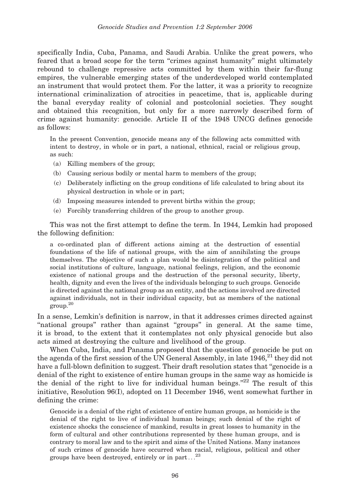specifically India, Cuba, Panama, and Saudi Arabia. Unlike the great powers, who feared that a broad scope for the term ''crimes against humanity'' might ultimately rebound to challenge repressive acts committed by them within their far-flung empires, the vulnerable emerging states of the underdeveloped world contemplated an instrument that would protect them. For the latter, it was a priority to recognize international criminalization of atrocities in peacetime, that is, applicable during the banal everyday reality of colonial and postcolonial societies. They sought and obtained this recognition, but only for a more narrowly described form of crime against humanity: genocide. Article II of the 1948 UNCG defines genocide as follows:

In the present Convention, genocide means any of the following acts committed with intent to destroy, in whole or in part, a national, ethnical, racial or religious group, as such:

- (a) Killing members of the group;
- (b) Causing serious bodily or mental harm to members of the group;
- (c) Deliberately inflicting on the group conditions of life calculated to bring about its physical destruction in whole or in part;
- (d) Imposing measures intended to prevent births within the group;
- (e) Forcibly transferring children of the group to another group.

This was not the first attempt to define the term. In 1944, Lemkin had proposed the following definition:

a co-ordinated plan of different actions aiming at the destruction of essential foundations of the life of national groups, with the aim of annihilating the groups themselves. The objective of such a plan would be disintegration of the political and social institutions of culture, language, national feelings, religion, and the economic existence of national groups and the destruction of the personal security, liberty, health, dignity and even the lives of the individuals belonging to such groups. Genocide is directed against the national group as an entity, and the actions involved are directed against individuals, not in their individual capacity, but as members of the national group.<sup>20</sup>

In a sense, Lemkin's definition is narrow, in that it addresses crimes directed against "national groups" rather than against "groups" in general. At the same time, it is broad, to the extent that it contemplates not only physical genocide but also acts aimed at destroying the culture and livelihood of the group.

When Cuba, India, and Panama proposed that the question of genocide be put on the agenda of the first session of the UN General Assembly, in late  $1946$ <sup>21</sup> they did not have a full-blown definition to suggest. Their draft resolution states that ''genocide is a denial of the right to existence of entire human groups in the same way as homicide is the denial of the right to live for individual human beings. $^{222}$  The result of this initiative, Resolution 96(I), adopted on 11 December 1946, went somewhat further in defining the crime:

Genocide is a denial of the right of existence of entire human groups, as homicide is the denial of the right to live of individual human beings; such denial of the right of existence shocks the conscience of mankind, results in great losses to humanity in the form of cultural and other contributions represented by these human groups, and is contrary to moral law and to the spirit and aims of the United Nations. Many instances of such crimes of genocide have occurred when racial, religious, political and other groups have been destroyed, entirely or in part...<sup>23</sup>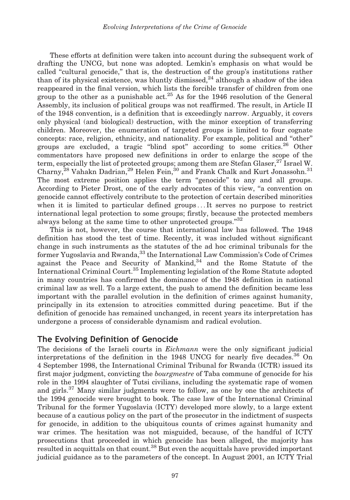These efforts at definition were taken into account during the subsequent work of drafting the UNCG, but none was adopted. Lemkin's emphasis on what would be called ''cultural genocide,'' that is, the destruction of the group's institutions rather than of its physical existence, was bluntly dismissed, $^{24}$  although a shadow of the idea reappeared in the final version, which lists the forcible transfer of children from one group to the other as a punishable act.<sup>25</sup> As for the 1946 resolution of the General Assembly, its inclusion of political groups was not reaffirmed. The result, in Article II of the 1948 convention, is a definition that is exceedingly narrow. Arguably, it covers only physical (and biological) destruction, with the minor exception of transferring children. Moreover, the enumeration of targeted groups is limited to four cognate concepts: race, religion, ethnicity, and nationality. For example, political and ''other'' groups are excluded, a tragic "blind spot" according to some critics.<sup>26</sup> Other commentators have proposed new definitions in order to enlarge the scope of the term, especially the list of protected groups; among them are Stefan Glaser, $27$  Israel W. Charny,<sup>28</sup> Vahakn Dadrian,<sup>29</sup> Helen Fein,<sup>30</sup> and Frank Chalk and Kurt Jonassohn.<sup>31</sup> The most extreme position applies the term ''genocide'' to any and all groups. According to Pieter Drost, one of the early advocates of this view, "a convention on genocide cannot effectively contribute to the protection of certain described minorities when it is limited to particular defined groups ... It serves no purpose to restrict international legal protection to some groups; firstly, because the protected members always belong at the same time to other unprotected groups."<sup>32</sup>

This is not, however, the course that international law has followed. The 1948 definition has stood the test of time. Recently, it was included without significant change in such instruments as the statutes of the ad hoc criminal tribunals for the former Yugoslavia and Rwanda,<sup>33</sup> the International Law Commission's Code of Crimes against the Peace and Security of Mankind,<sup>34</sup> and the Rome Statute of the International Criminal Court.<sup>35</sup> Implementing legislation of the Rome Statute adopted in many countries has confirmed the dominance of the 1948 definition in national criminal law as well. To a large extent, the push to amend the definition became less important with the parallel evolution in the definition of crimes against humanity, principally in its extension to atrocities committed during peacetime. But if the definition of genocide has remained unchanged, in recent years its interpretation has undergone a process of considerable dynamism and radical evolution.

#### The Evolving Definition of Genocide

The decisions of the Israeli courts in *Eichmann* were the only significant judicial interpretations of the definition in the 1948 UNCG for nearly five decades.<sup>36</sup> On 4 September 1998, the International Criminal Tribunal for Rwanda (ICTR) issued its first major judgment, convicting the *bourgmestre* of Taba commune of genocide for his role in the 1994 slaughter of Tutsi civilians, including the systematic rape of women and girls.<sup>37</sup> Many similar judgments were to follow, as one by one the architects of the 1994 genocide were brought to book. The case law of the International Criminal Tribunal for the former Yugoslavia (ICTY) developed more slowly, to a large extent because of a cautious policy on the part of the prosecutor in the indictment of suspects for genocide, in addition to the ubiquitous counts of crimes against humanity and war crimes. The hesitation was not misguided, because, of the handful of ICTY prosecutions that proceeded in which genocide has been alleged, the majority has resulted in acquittals on that count.<sup>38</sup> But even the acquittals have provided important judicial guidance as to the parameters of the concept. In August 2001, an ICTY Trial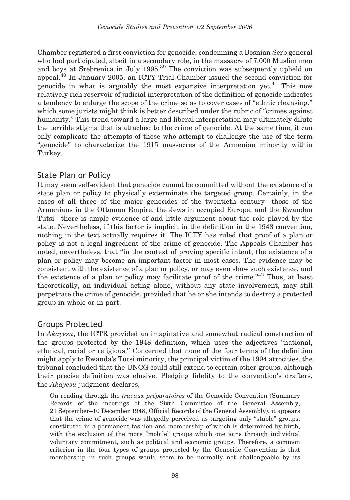Chamber registered a first conviction for genocide, condemning a Bosnian Serb general who had participated, albeit in a secondary role, in the massacre of 7,000 Muslim men and boys at Srebrenica in July 1995.<sup>39</sup> The conviction was subsequently upheld on appeal.<sup>40</sup> In January 2005, an ICTY Trial Chamber issued the second conviction for genocide in what is arguably the most expansive interpretation yet.<sup>41</sup> This now relatively rich reservoir of judicial interpretation of the definition of genocide indicates a tendency to enlarge the scope of the crime so as to cover cases of ''ethnic cleansing,'' which some jurists might think is better described under the rubric of "crimes against" humanity.'' This trend toward a large and liberal interpretation may ultimately dilute the terrible stigma that is attached to the crime of genocide. At the same time, it can only complicate the attempts of those who attempt to challenge the use of the term ''genocide'' to characterize the 1915 massacres of the Armenian minority within Turkey.

### State Plan or Policy

It may seem self-evident that genocide cannot be committed without the existence of a state plan or policy to physically exterminate the targeted group. Certainly, in the cases of all three of the major genocides of the twentieth century—those of the Armenians in the Ottoman Empire, the Jews in occupied Europe, and the Rwandan Tutsi—there is ample evidence of and little argument about the role played by the state. Nevertheless, if this factor is implicit in the definition in the 1948 convention, nothing in the text actually requires it. The ICTY has ruled that proof of a plan or policy is not a legal ingredient of the crime of genocide. The Appeals Chamber has noted, nevertheless, that ''in the context of proving specific intent, the existence of a plan or policy may become an important factor in most cases. The evidence may be consistent with the existence of a plan or policy, or may even show such existence, and the existence of a plan or policy may facilitate proof of the crime."<sup>42</sup> Thus, at least theoretically, an individual acting alone, without any state involvement, may still perpetrate the crime of genocide, provided that he or she intends to destroy a protected group in whole or in part.

### Groups Protected

In Akayesu, the ICTR provided an imaginative and somewhat radical construction of the groups protected by the 1948 definition, which uses the adjectives ''national, ethnical, racial or religious.'' Concerned that none of the four terms of the definition might apply to Rwanda's Tutsi minority, the principal victim of the 1994 atrocities, the tribunal concluded that the UNCG could still extend to certain other groups, although their precise definition was elusive. Pledging fidelity to the convention's drafters, the Akayesu judgment declares,

On reading through the travaux preparatoires of the Genocide Convention (Summary Records of the meetings of the Sixth Committee of the General Assembly, 21 September–10 December 1948, Official Records of the General Assembly), it appears that the crime of genocide was allegedly perceived as targeting only "stable" groups, constituted in a permanent fashion and membership of which is determined by birth, with the exclusion of the more "mobile" groups which one joins through individual voluntary commitment, such as political and economic groups. Therefore, a common criterion in the four types of groups protected by the Genocide Convention is that membership in such groups would seem to be normally not challengeable by its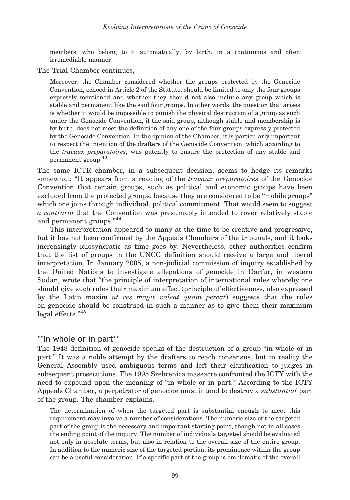members, who belong to it automatically, by birth, in a continuous and often irremediable manner.

The Trial Chamber continues,

Moreover, the Chamber considered whether the groups protected by the Genocide Convention, echoed in Article 2 of the Statute, should be limited to only the four groups expressly mentioned and whether they should not also include any group which is stable and permanent like the said four groups. In other words, the question that arises is whether it would be impossible to punish the physical destruction of a group as such under the Genocide Convention, if the said group, although stable and membership is by birth, does not meet the definition of any one of the four groups expressly protected by the Genocide Convention. In the opinion of the Chamber, it is particularly important to respect the intention of the drafters of the Genocide Convention, which according to the *travaux préparatoires*, was patently to ensure the protection of any stable and permanent group.<sup>43</sup>

The same ICTR chamber, in a subsequent decision, seems to hedge its remarks somewhat: "It appears from a reading of the *travaux préparatoires* of the Genocide Convention that certain groups, such as political and economic groups have been excluded from the protected groups, because they are considered to be ''mobile groups'' which one joins through individual, political commitment. That would seem to suggest a contrario that the Convention was presumably intended to cover relatively stable and permanent groups."<sup>44</sup>

This interpretation appeared to many at the time to be creative and progressive, but it has not been confirmed by the Appeals Chambers of the tribunals, and it looks increasingly idiosyncratic as time goes by. Nevertheless, other authorities confirm that the list of groups in the UNCG definition should receive a large and liberal interpretation. In January 2005, a non-judicial commission of inquiry established by the United Nations to investigate allegations of genocide in Darfur, in western Sudan, wrote that ''the principle of interpretation of international rules whereby one should give such rules their maximum effect (principle of effectiveness, also expressed by the Latin maxim *ut res magis valeat quam pereat*) suggests that the rules on genocide should be construed in such a manner as to give them their maximum legal effects."<sup>45</sup>

#### ''In whole or in part''

The 1948 definition of genocide speaks of the destruction of a group ''in whole or in part.'' It was a noble attempt by the drafters to reach consensus, but in reality the General Assembly used ambiguous terms and left their clarification to judges in subsequent prosecutions. The 1995 Srebrenica massacre confronted the ICTY with the need to expound upon the meaning of ''in whole or in part.'' According to the ICTY Appeals Chamber, a perpetrator of genocide must intend to destroy a *substantial* part of the group. The chamber explains,

The determination of when the targeted part is substantial enough to meet this requirement may involve a number of considerations. The numeric size of the targeted part of the group is the necessary and important starting point, though not in all cases the ending point of the inquiry. The number of individuals targeted should be evaluated not only in absolute terms, but also in relation to the overall size of the entire group. In addition to the numeric size of the targeted portion, its prominence within the group can be a useful consideration. If a specific part of the group is emblematic of the overall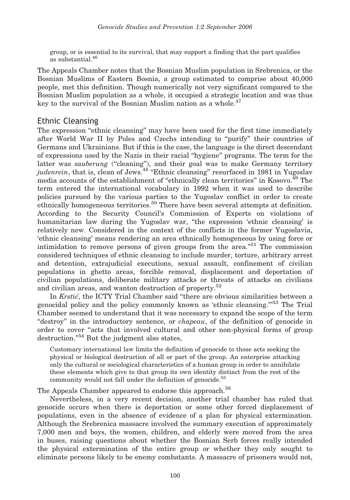group, or is essential to its survival, that may support a finding that the part qualifies as substantial.<sup>46</sup>

The Appeals Chamber notes that the Bosnian Muslim population in Srebrenica, or the Bosnian Muslims of Eastern Bosnia, a group estimated to comprise about 40,000 people, met this definition. Though numerically not very significant compared to the Bosnian Muslim population as a whole, it occupied a strategic location and was thus key to the survival of the Bosnian Muslim nation as a whole.<sup>47</sup>

#### Ethnic Cleansing

The expression "ethnic cleansing" may have been used for the first time immediately after World War II by Poles and Czechs intending to ''purify'' their countries of Germans and Ukrainians. But if this is the case, the language is the direct descendant of expressions used by the Nazis in their racial ''hygiene'' programs. The term for the latter was *sauberung* ("cleaning"), and their goal was to make Germany territory judenrein, that is, clean of Jews.<sup>48</sup> "Ethnic cleansing" resurfaced in 1981 in Yugoslav media accounts of the establishment of "ethnically clean territories" in Kosovo.<sup>49</sup> The term entered the international vocabulary in 1992 when it was used to describe policies pursued by the various parties to the Yugoslav conflict in order to create ethnically homogeneous territories.<sup>50</sup> There have been several attempts at definition. According to the Security Council's Commission of Experts on violations of humanitarian law during the Yugoslav war, ''the expression 'ethnic cleansing' is relatively new. Considered in the context of the conflicts in the former Yugoslavia, 'ethnic cleansing' means rendering an area ethnically homogeneous by using force or intimidation to remove persons of given groups from the area."<sup>51</sup> The commission considered techniques of ethnic cleansing to include murder, torture, arbitrary arrest and detention, extrajudicial executions, sexual assault, confinement of civilian populations in ghetto areas, forcible removal, displacement and deportation of civilian populations, deliberate military attacks or threats of attacks on civilians and civilian areas, and wanton destruction of property.<sup>52</sup>

In Krstic, the ICTY Trial Chamber said "there are obvious similarities between a genocidal policy and the policy commonly known as 'ethnic cleansing."<sup>53</sup> The Trial Chamber seemed to understand that it was necessary to expand the scope of the term "destroy" in the introductory sentence, or *chapeau*, of the definition of genocide in order to cover "acts that involved cultural and other non-physical forms of group destruction."<sup>54</sup> But the judgment also states,

Customary international law limits the definition of genocide to those acts seeking the physical or biological destruction of all or part of the group. An enterprise attacking only the cultural or sociological characteristics of a human group in order to annihilate these elements which give to that group its own identity distinct from the rest of the community would not fall under the definition of genocide.<sup>55</sup>

The Appeals Chamber appeared to endorse this approach.<sup>56</sup>

Nevertheless, in a very recent decision, another trial chamber has ruled that genocide occurs when there is deportation or some other forced displacement of populations, even in the absence of evidence of a plan for physical extermination. Although the Srebrenica massacre involved the summary execution of approximately 7,000 men and boys, the women, children, and elderly were moved from the area in buses, raising questions about whether the Bosnian Serb forces really intended the physical extermination of the entire group or whether they only sought to eliminate persons likely to be enemy combatants. A massacre of prisoners would not,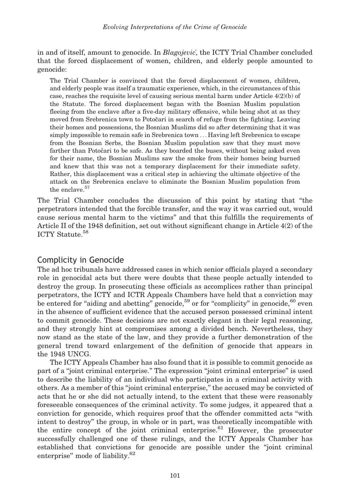in and of itself, amount to genocide. In *Blagojevic*, the ICTY Trial Chamber concluded that the forced displacement of women, children, and elderly people amounted to genocide:

The Trial Chamber is convinced that the forced displacement of women, children, and elderly people was itself a traumatic experience, which, in the circumstances of this case, reaches the requisite level of causing serious mental harm under Article  $4(2)(b)$  of the Statute. The forced displacement began with the Bosnian Muslim population fleeing from the enclave after a five-day military offensive, while being shot at as they moved from Srebrenica town to Potočari in search of refuge from the fighting. Leaving their homes and possessions, the Bosnian Muslims did so after determining that it was simply impossible to remain safe in Srebrenica town ... Having left Srebrenica to escape from the Bosnian Serbs, the Bosnian Muslim population saw that they must move farther than Potočari to be safe. As they boarded the buses, without being asked even for their name, the Bosnian Muslims saw the smoke from their homes being burned and knew that this was not a temporary displacement for their immediate safety. Rather, this displacement was a critical step in achieving the ultimate objective of the attack on the Srebrenica enclave to eliminate the Bosnian Muslim population from the enclave.<sup>57</sup>

The Trial Chamber concludes the discussion of this point by stating that ''the perpetrators intended that the forcible transfer, and the way it was carried out, would cause serious mental harm to the victims'' and that this fulfills the requirements of Article II of the 1948 definition, set out without significant change in Article 4(2) of the ICTY Statute.<sup>58</sup>

### Complicity in Genocide

The ad hoc tribunals have addressed cases in which senior officials played a secondary role in genocidal acts but there were doubts that these people actually intended to destroy the group. In prosecuting these officials as accomplices rather than principal perpetrators, the ICTY and ICTR Appeals Chambers have held that a conviction may be entered for "aiding and abetting" genocide,<sup>59</sup> or for "complicity" in genocide,<sup>60</sup> even in the absence of sufficient evidence that the accused person possessed criminal intent to commit genocide. These decisions are not exactly elegant in their legal reasoning, and they strongly hint at compromises among a divided bench. Nevertheless, they now stand as the state of the law, and they provide a further demonstration of the general trend toward enlargement of the definition of genocide that appears in the 1948 UNCG.

The ICTY Appeals Chamber has also found that it is possible to commit genocide as part of a ''joint criminal enterprise.'' The expression ''joint criminal enterprise'' is used to describe the liability of an individual who participates in a criminal activity with others. As a member of this ''joint criminal enterprise,'' the accused may be convicted of acts that he or she did not actually intend, to the extent that these were reasonably foreseeable consequences of the criminal activity. To some judges, it appeared that a conviction for genocide, which requires proof that the offender committed acts ''with intent to destroy'' the group, in whole or in part, was theoretically incompatible with the entire concept of the joint criminal enterprise.<sup>61</sup> However, the prosecutor successfully challenged one of these rulings, and the ICTY Appeals Chamber has established that convictions for genocide are possible under the ''joint criminal enterprise" mode of liability.<sup>62</sup>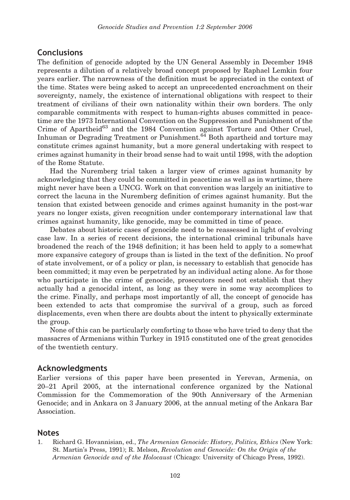#### **Conclusions**

The definition of genocide adopted by the UN General Assembly in December 1948 represents a dilution of a relatively broad concept proposed by Raphael Lemkin four years earlier. The narrowness of the definition must be appreciated in the context of the time. States were being asked to accept an unprecedented encroachment on their sovereignty, namely, the existence of international obligations with respect to their treatment of civilians of their own nationality within their own borders. The only comparable commitments with respect to human-rights abuses committed in peacetime are the 1973 International Convention on the Suppression and Punishment of the Crime of Apartheid<sup>63</sup> and the 1984 Convention against Torture and Other Cruel, Inhuman or Degrading Treatment or Punishment. $^{64}$  Both apartheid and torture may constitute crimes against humanity, but a more general undertaking with respect to crimes against humanity in their broad sense had to wait until 1998, with the adoption of the Rome Statute.

Had the Nuremberg trial taken a larger view of crimes against humanity by acknowledging that they could be committed in peacetime as well as in wartime, there might never have been a UNCG. Work on that convention was largely an initiative to correct the lacuna in the Nuremberg definition of crimes against humanity. But the tension that existed between genocide and crimes against humanity in the post-war years no longer exists, given recognition under contemporary international law that crimes against humanity, like genocide, may be committed in time of peace.

Debates about historic cases of genocide need to be reassessed in light of evolving case law. In a series of recent decisions, the international criminal tribunals have broadened the reach of the 1948 definition; it has been held to apply to a somewhat more expansive category of groups than is listed in the text of the definition. No proof of state involvement, or of a policy or plan, is necessary to establish that genocide has been committed; it may even be perpetrated by an individual acting alone. As for those who participate in the crime of genocide, prosecutors need not establish that they actually had a genocidal intent, as long as they were in some way accomplices to the crime. Finally, and perhaps most importantly of all, the concept of genocide has been extended to acts that compromise the survival of a group, such as forced displacements, even when there are doubts about the intent to physically exterminate the group.

None of this can be particularly comforting to those who have tried to deny that the massacres of Armenians within Turkey in 1915 constituted one of the great genocides of the twentieth century.

#### Acknowledgments

Earlier versions of this paper have been presented in Yerevan, Armenia, on 20–21 April 2005, at the international conference organized by the National Commission for the Commemoration of the 90th Anniversary of the Armenian Genocide; and in Ankara on 3 January 2006, at the annual meting of the Ankara Bar Association.

#### Notes

1. Richard G. Hovannisian, ed., The Armenian Genocide: History, Politics, Ethics (New York: St. Martin's Press, 1991); R. Melson, Revolution and Genocide: On the Origin of the Armenian Genocide and of the Holocaust (Chicago: University of Chicago Press, 1992).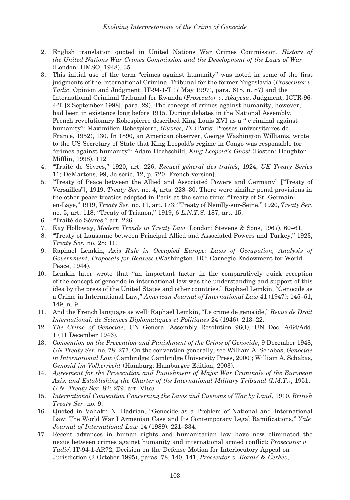- 2. English translation quoted in United Nations War Crimes Commission, History of the United Nations War Crimes Commission and the Development of the Laws of War (London: HMSO, 1948), 35.
- 3. This initial use of the term ''crimes against humanity'' was noted in some of the first judgments of the International Criminal Tribunal for the former Yugoslavia (Prosecutor v. Tadic<sup>´</sup>, Opinion and Judgment, IT-94-1-T  $(7$  May 1997), para. 618, n. 87) and the International Criminal Tribunal for Rwanda (Prosecutor v. Akayesu, Judgment, ICTR-96- 4-T [2 September 1998], para. 29). The concept of crimes against humanity, however, had been in existence long before 1915. During debates in the National Assembly, French revolutionary Robespierre described King Louis XVI as a ''[c]riminal against humanity": Maximilien Robespierre, *Œuvres, IX* (Paris: Presses universitaires de France, 1952), 130. In 1890, an American observer, George Washington Williams, wrote to the US Secretary of State that King Leopold's regime in Congo was responsible for ''crimes against humanity'': Adam Hochschild, King Leopold's Ghost (Boston: Houghton Mifflin, 1998), 112.
- 4. "Traité de Sèvres," 1920, art. 226, Recueil général des traités, 1924, UK Treaty Series 11; DeMartens, 99, 3e série, 12, p. 720 [French version].
- 5. ''Treaty of Peace between the Allied and Associated Powers and Germany'' [''Treaty of Versailles''], 1919, Treaty Ser. no. 4, arts. 228–30. There were similar penal provisions in the other peace treaties adopted in Paris at the same time: ''Treaty of St. Germainen-Laye," 1919, Treaty Ser. no. 11, art. 173; "Treaty of Neuilly-sur-Seine," 1920, Treaty Ser. no. 5, art. 118; "Treaty of Trianon," 1919, 6 L.N.T.S. 187, art. 15.
- 6. "Traité de Sèvres," art. 226.
- 7. Kay Holloway, Modern Trends in Treaty Law (London: Stevens & Sons, 1967), 60–61.
- 8. ''Treaty of Lausanne between Principal Allied and Associated Powers and Turkey,'' 1923, Treaty Ser. no. 28: 11.
- 9. Raphael Lemkin, Axis Rule in Occupied Europe: Laws of Occupation, Analysis of Government, Proposals for Redress (Washington, DC: Carnegie Endowment for World Peace, 1944).
- 10. Lemkin later wrote that ''an important factor in the comparatively quick reception of the concept of genocide in international law was the understanding and support of this idea by the press of the United States and other countries.'' Raphael Lemkin, ''Genocide as a Crime in International Law,'' American Journal of International Law 41 (1947): 145–51, 149, n. 9.
- 11. And the French language as well: Raphael Lemkin, "Le crime de génocide," Revue de Droit International, de Sciences Diplomatiques et Politiques 24 (1946): 213–22.
- 12. The Crime of Genocide, UN General Assembly Resolution 96(I), UN Doc. A/64/Add. 1 (11 December 1946).
- 13. Convention on the Prevention and Punishment of the Crime of Genocide, 9 December 1948, UN Treaty Ser. no. 78: 277. On the convention generally, see William A. Schabas, Genocide in International Law (Cambridge: Cambridge University Press, 2000); William A. Schabas, Genozid im Völkerrecht (Hamburg: Hamburger Edition, 2003).
- 14. Agreement for the Prosecution and Punishment of Major War Criminals of the European Axis, and Establishing the Charter of the International Military Tribunal (I.M.T.), 1951, U.N. Treaty Ser. 82: 279, art. VI(c).
- 15. International Convention Concerning the Laws and Customs of War by Land, 1910, British Treaty Ser. no. 9.
- 16. Quoted in Vahakn N. Dadrian, ''Genocide as a Problem of National and International Law: The World War I Armenian Case and Its Contemporary Legal Ramifications," Yale Journal of International Law 14 (1989): 221–334.
- 17. Recent advances in human rights and humanitarian law have now eliminated the nexus between crimes against humanity and international armed conflict: Prosecutor v. Tadic´, IT-94-1-AR72, Decision on the Defense Motion for Interlocutory Appeal on Jurisdiction (2 October 1995), paras. 78, 140, 141; Prosecutor v. Kordic´ & C̆erkez,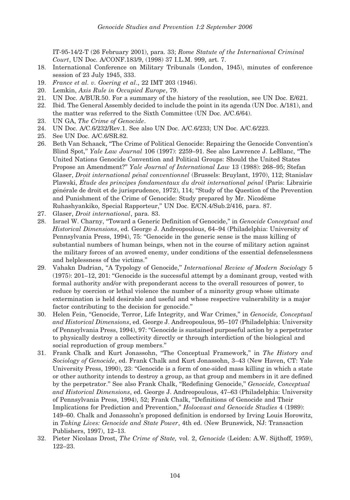IT-95-14/2-T (26 February 2001), para. 33; Rome Statute of the International Criminal Court, UN Doc. A/CONF.183/9, (1998) 37 I.L.M. 999, art. 7.

- 18. International Conference on Military Tribunals (London, 1945), minutes of conference session of 23 July 1945, 333.
- 19. France et al. v. Goering et al., 22 IMT 203 (1946).
- 20. Lemkin, Axis Rule in Occupied Europe, 79.
- 21. UN Doc. A/BUR.50. For a summary of the history of the resolution, see UN Doc. E/621.
- 22. Ibid. The General Assembly decided to include the point in its agenda (UN Doc. A/181), and the matter was referred to the Sixth Committee (UN Doc. A/C.6/64).
- 23. UN GA, The Crime of Genocide.
- 24. UN Doc. A/C.6/232/Rev.1. See also UN Doc. A/C.6/233; UN Doc. A/C.6/223.
- 25. See UN Doc. A/C.6/SR.82.
- 26. Beth Van Schaack, ''The Crime of Political Genocide: Repairing the Genocide Convention's Blind Spot,'' Yale Law Journal 106 (1997): 2259–91. See also Lawrence J. LeBlanc, ''The United Nations Genocide Convention and Political Groups: Should the United States Propose an Amendment?" Yale Journal of International Law 13 (1988): 268–95; Stefan Glaser, *Droit international pénal conventionnel* (Brussels: Bruylant, 1970), 112; Stanislav Plawski, Etude des principes fondamentaux du droit international pénal (Paris: Librairie générale de droit et de jurisprudence, 1972), 114; "Study of the Question of the Prevention and Punishment of the Crime of Genocide: Study prepared by Mr. Nicodème Ruhashyankiko, Special Rapporteur,'' UN Doc. E/CN.4/Sub.2/416, para. 87.
- 27. Glaser, Droit international, para. 83.
- 28. Israel W. Charny, "Toward a Generic Definition of Genocide," in Genocide Conceptual and Historical Dimensions, ed. George J. Andreopoulous, 64–94 (Philadelphia: University of Pennsylvania Press, 1994), 75: ''Genocide in the generic sense is the mass killing of substantial numbers of human beings, when not in the course of military action against the military forces of an avowed enemy, under conditions of the essential defenselessness and helplessness of the victims.''
- 29. Vahakn Dadrian, "A Typology of Genocide," International Review of Modern Sociology 5 (1975): 201–12, 201: ''Genocide is the successful attempt by a dominant group, vested with formal authority and/or with preponderant access to the overall resources of power, to reduce by coercion or lethal violence the number of a minority group whose ultimate extermination is held desirable and useful and whose respective vulnerability is a major factor contributing to the decision for genocide.''
- 30. Helen Fein, "Genocide, Terror, Life Integrity, and War Crimes," in Genocide, Conceptual and Historical Dimensions, ed. George J. Andreopoulous, 95–107 (Philadelphia: University of Pennsylvania Press, 1994), 97: ''Genocide is sustained purposeful action by a perpetrator to physically destroy a collectivity directly or through interdiction of the biological and social reproduction of group members.''
- 31. Frank Chalk and Kurt Jonassohn, "The Conceptual Framework," in The History and Sociology of Genocide, ed. Frank Chalk and Kurt Jonassohn, 3–43 (New Haven, CT: Yale University Press, 1990), 23: ''Genocide is a form of one-sided mass killing in which a state or other authority intends to destroy a group, as that group and members in it are defined by the perpetrator." See also Frank Chalk, "Redefining Genocide," Genocide, Conceptual and Historical Dimensions, ed. George J. Andreopoulous, 47–63 (Philadelphia: University of Pennsylvania Press, 1994), 52; Frank Chalk, ''Definitions of Genocide and Their Implications for Prediction and Prevention,'' Holocaust and Genocide Studies 4 (1989): 149–60. Chalk and Jonassohn's proposed definition is endorsed by Irving Louis Horowitz, in Taking Lives: Genocide and State Power, 4th ed. (New Brunswick, NJ: Transaction Publishers, 1997), 12–13.
- 32. Pieter Nicolaas Drost, The Crime of State, vol. 2, Genocide (Leiden: A.W. Sijthoff, 1959), 122–23.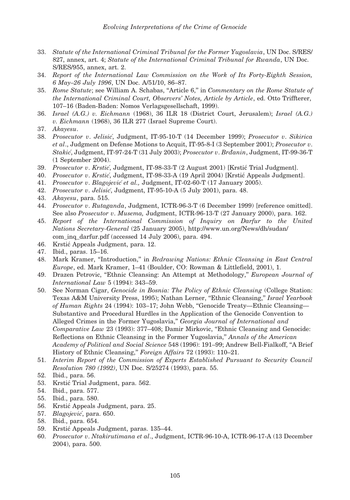- 33. Statute of the International Criminal Tribunal for the Former Yugoslavia, UN Doc. S/RES/ 827, annex, art. 4; Statute of the International Criminal Tribunal for Rwanda, UN Doc. S/RES/955, annex, art. 2.
- 34. Report of the International Law Commission on the Work of Its Forty-Eighth Session, 6 May–26 July 1996, UN Doc. A/51/10, 86–87.
- 35. Rome Statute; see William A. Schabas, "Article 6," in Commentary on the Rome Statute of the International Criminal Court, Observers' Notes, Article by Article, ed. Otto Triffterer, 107–16 (Baden-Baden: Nomos Verlagsgesellschaft, 1999).
- 36. Israel (A.G.) v. Eichmann (1968), 36 ILR 18 (District Court, Jerusalem); Israel (A.G.) v. Eichmann (1968), 36 ILR 277 (Israel Supreme Court).
- 37. Akayesu.
- 38. Prosecutor v. Jelisic´, Judgment, IT-95-10-T (14 December 1999); Prosecutor v. Sikirica et al., Judgment on Defense Motions to Acquit, IT-95-8-I (3 September 2001); Prosecutor v. Stakić, Judgment, IT-97-24-T (31 July 2003); Prosecutor v. Brdanin, Judgment, IT-99-36-T (1 September 2004).
- 39. Prosecutor v. Krstic´, Judgment, IT-98-33-T (2 August 2001) [Krstic´ Trial Judgment].
- 40. Prosecutor v. Krstić, Judgment, IT-98-33-A (19 April 2004) [Krstić Appeals Judgment].
- 41. Prosecutor v. Blagojević et al., Judgment, IT-02-60-T (17 January 2005).
- 42. Prosecutor v. Jelisić, Judgment, IT-95-10-A (5 July 2001), para. 48.
- 43. Akayesu, para. 515.
- 44. Prosecutor v. Rutaganda, Judgment, ICTR-96-3-T (6 December 1999) [reference omitted]. See also Prosecutor v. Musema, Judgment, ICTR-96-13-T (27 January 2000), para. 162.
- 45. Report of the International Commission of Inquiry on Darfur to the United Nations Secretary-General (25 January 2005), http://www.un.org/News/dh/sudan/ com\_inq\_darfur.pdf (accessed 14 July 2006), para. 494.
- 46. Krstic´ Appeals Judgment, para. 12.
- 47. Ibid., paras. 15–16.
- 48. Mark Kramer, "Introduction," in Redrawing Nations: Ethnic Cleansing in East Central Europe, ed. Mark Kramer, 1–41 (Boulder, CO: Rowman & Littlefield, 2001), 1.
- 49. Drazen Petrovic, "Ethnic Cleansing: An Attempt at Methodology," European Journal of International Law 5 (1994): 343–59.
- 50. See Norman Cigar, Genocide in Bosnia: The Policy of Ethnic Cleansing (College Station: Texas A&M University Press, 1995); Nathan Lerner, "Ethnic Cleansing," Israel Yearbook of Human Rights 24 (1994): 103–17; John Webb, ''Genocide Treaty—Ethnic Cleansing— Substantive and Procedural Hurdles in the Application of the Genocide Convention to Alleged Crimes in the Former Yugoslavia,'' Georgia Journal of International and Comparative Law 23 (1993): 377–408; Damir Mirkovic, "Ethnic Cleansing and Genocide: Reflections on Ethnic Cleansing in the Former Yugoslavia,'' Annals of the American Academy of Political and Social Science 548 (1996): 191–99; Andrew Bell-Fialkoff, ''A Brief History of Ethnic Cleansing,'' Foreign Affairs 72 (1993): 110–21.
- 51. Interim Report of the Commission of Experts Established Pursuant to Security Council Resolution 780 (1992), UN Doc. S/25274 (1993), para. 55.
- 52. Ibid., para. 56.
- 53. Krstic´ Trial Judgment, para. 562.
- 54. Ibid., para. 577.
- 55. Ibid., para. 580.
- 56. Krstic´ Appeals Judgment, para. 25.
- 57. Blagojević, para. 650.
- 58. Ibid., para. 654.
- 59. Krstic´ Appeals Judgment, paras. 135–44.
- 60. Prosecutor v. Ntakirutimana et al., Judgment, ICTR-96-10-A, ICTR-96-17-A (13 December 2004), para. 500.